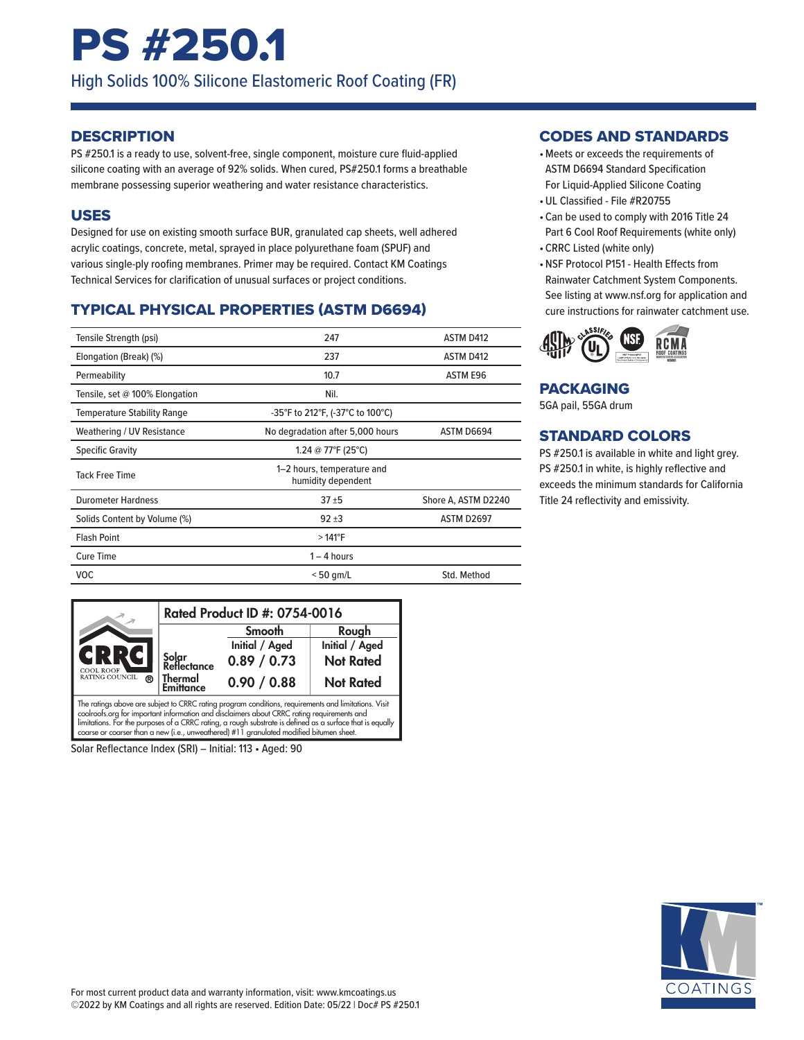## PS #250.1

High Solids 100% Silicone Elastomeric Roof Coating (FR)

#### **DESCRIPTION**

PS #250.1 is a ready to use, solvent-free, single component, moisture cure fluid-applied silicone coating with an average of 92% solids. When cured, PS#250.1 forms a breathable membrane possessing superior weathering and water resistance characteristics.

#### USES

Designed for use on existing smooth surface BUR, granulated cap sheets, well adhered acrylic coatings, concrete, metal, sprayed in place polyurethane foam (SPUF) and various single-ply roofing membranes. Primer may be required. Contact KM Coatings Technical Services for clarification of unusual surfaces or project conditions.

## TYPICAL PHYSICAL PROPERTIES (ASTM D6694)

| Tensile Strength (psi)             | 247                                              | ASTM D412           |
|------------------------------------|--------------------------------------------------|---------------------|
| Elongation (Break) (%)             | 237                                              | ASTM D412           |
| Permeability                       | 10.7                                             | ASTM E96            |
| Tensile, set @ 100% Elongation     | Nil.                                             |                     |
| <b>Temperature Stability Range</b> | -35°F to 212°F, (-37°C to 100°C)                 |                     |
| Weathering / UV Resistance         | No degradation after 5,000 hours                 | ASTM D6694          |
| <b>Specific Gravity</b>            | 1.24 @ 77°F (25°C)                               |                     |
| <b>Tack Free Time</b>              | 1-2 hours, temperature and<br>humidity dependent |                     |
| <b>Durometer Hardness</b>          | $37 + 5$                                         | Shore A, ASTM D2240 |
| Solids Content by Volume (%)       | $92 + 3$                                         | <b>ASTM D2697</b>   |
| <b>Flash Point</b>                 | $>141^{\circ}F$                                  |                     |
| <b>Cure Time</b>                   | $1 - 4$ hours                                    |                     |
| <b>VOC</b>                         | $< 50$ gm/L                                      | Std. Method         |



Solar Reflectance Index (SRI) – Initial: 113 • Aged: 90

#### CODES AND STANDARDS

- •Meets or exceeds the requirements of ASTM D6694 Standard Specification For Liquid-Applied Silicone Coating
- •UL Classified File #R20755
- Can be used to comply with 2016 Title 24 Part 6 Cool Roof Requirements (white only)
- CRRC Listed (white only)
- •NSF Protocol P151 Health Effects from Rainwater Catchment System Components. See listing at www.nsf.org for application and cure instructions for rainwater catchment use.



#### PACKAGING

5GA pail, 55GA drum

#### STANDARD COLORS

PS #250.1 is available in white and light grey. PS #250.1 in white, is highly reflective and exceeds the minimum standards for California Title 24 reflectivity and emissivity.